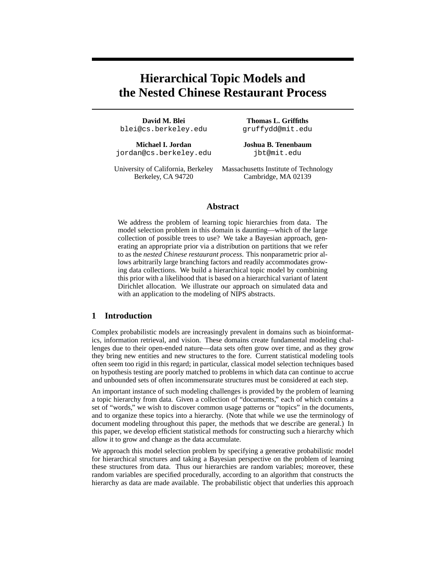# **Hierarchical Topic Models and the Nested Chinese Restaurant Process**

**David M. Blei Thomas L. Griffiths** blei@cs.berkeley.edu gruffydd@mit.edu

**Michael I. Jordan Joshua B. Tenenbaum** jordan@cs.berkeley.edu jbt@mit.edu

University of California, Berkeley Massachusetts Institute of Technology Berkeley, CA 94720 Cambridge, MA 02139

## **Abstract**

We address the problem of learning topic hierarchies from data. The model selection problem in this domain is daunting—which of the large collection of possible trees to use? We take a Bayesian approach, generating an appropriate prior via a distribution on partitions that we refer to as the *nested Chinese restaurant process*. This nonparametric prior allows arbitrarily large branching factors and readily accommodates growing data collections. We build a hierarchical topic model by combining this prior with a likelihood that is based on a hierarchical variant of latent Dirichlet allocation. We illustrate our approach on simulated data and with an application to the modeling of NIPS abstracts.

#### **1 Introduction**

Complex probabilistic models are increasingly prevalent in domains such as bioinformatics, information retrieval, and vision. These domains create fundamental modeling challenges due to their open-ended nature—data sets often grow over time, and as they grow they bring new entities and new structures to the fore. Current statistical modeling tools often seem too rigid in this regard; in particular, classical model selection techniques based on hypothesis testing are poorly matched to problems in which data can continue to accrue and unbounded sets of often incommensurate structures must be considered at each step.

An important instance of such modeling challenges is provided by the problem of learning a topic hierarchy from data. Given a collection of "documents," each of which contains a set of "words," we wish to discover common usage patterns or "topics" in the documents, and to organize these topics into a hierarchy. (Note that while we use the terminology of document modeling throughout this paper, the methods that we describe are general.) In this paper, we develop efficient statistical methods for constructing such a hierarchy which allow it to grow and change as the data accumulate.

We approach this model selection problem by specifying a generative probabilistic model for hierarchical structures and taking a Bayesian perspective on the problem of learning these structures from data. Thus our hierarchies are random variables; moreover, these random variables are specified procedurally, according to an algorithm that constructs the hierarchy as data are made available. The probabilistic object that underlies this approach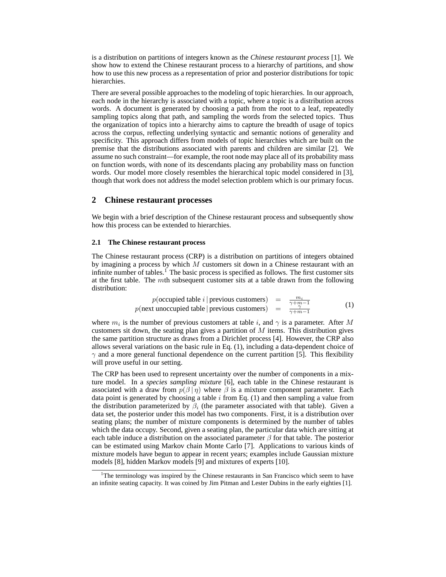is a distribution on partitions of integers known as the *Chinese restaurant process* [1]. We show how to extend the Chinese restaurant process to a hierarchy of partitions, and show how to use this new process as a representation of prior and posterior distributions for topic hierarchies.

There are several possible approaches to the modeling of topic hierarchies. In our approach, each node in the hierarchy is associated with a topic, where a topic is a distribution across words. A document is generated by choosing a path from the root to a leaf, repeatedly sampling topics along that path, and sampling the words from the selected topics. Thus the organization of topics into a hierarchy aims to capture the breadth of usage of topics across the corpus, reflecting underlying syntactic and semantic notions of generality and specificity. This approach differs from models of topic hierarchies which are built on the premise that the distributions associated with parents and children are similar [2]. We assume no such constraint—for example, the root node may place all of its probability mass on function words, with none of its descendants placing any probability mass on function words. Our model more closely resembles the hierarchical topic model considered in [3], though that work does not address the model selection problem which is our primary focus.

## **2 Chinese restaurant processes**

We begin with a brief description of the Chinese restaurant process and subsequently show how this process can be extended to hierarchies.

#### **2.1 The Chinese restaurant process**

The Chinese restaurant process (CRP) is a distribution on partitions of integers obtained by imagining a process by which  $M$  customers sit down in a Chinese restaurant with an infinite number of tables.<sup>1</sup> The basic process is specified as follows. The first customer sits at the first table. The mth subsequent customer sits at a table drawn from the following distribution:

$$
p(\text{occupied table } i \mid \text{previous customers}) = \frac{m_i}{\gamma + m - 1}
$$
  
 
$$
p(\text{next unoccupied table} \mid \text{previous customers}) = \frac{\gamma + m}{\gamma + m - 1}
$$
 (1)

where  $m_i$  is the number of previous customers at table i, and  $\gamma$  is a parameter. After M customers sit down, the seating plan gives a partition of  $M$  items. This distribution gives the same partition structure as draws from a Dirichlet process [4]. However, the CRP also allows several variations on the basic rule in Eq. (1), including a data-dependent choice of  $\gamma$  and a more general functional dependence on the current partition [5]. This flexibility will prove useful in our setting.

The CRP has been used to represent uncertainty over the number of components in a mixture model. In a *species sampling mixture* [6], each table in the Chinese restaurant is associated with a draw from  $p(\beta | \eta)$  where  $\beta$  is a mixture component parameter. Each data point is generated by choosing a table  $i$  from Eq. (1) and then sampling a value from the distribution parameterized by  $\beta_i$  (the parameter associated with that table). Given a data set, the posterior under this model has two components. First, it is a distribution over seating plans; the number of mixture components is determined by the number of tables which the data occupy. Second, given a seating plan, the particular data which are sitting at each table induce a distribution on the associated parameter  $\beta$  for that table. The posterior can be estimated using Markov chain Monte Carlo [7]. Applications to various kinds of mixture models have begun to appear in recent years; examples include Gaussian mixture models [8], hidden Markov models [9] and mixtures of experts [10].

<sup>&</sup>lt;sup>1</sup>The terminology was inspired by the Chinese restaurants in San Francisco which seem to have an infinite seating capacity. It was coined by Jim Pitman and Lester Dubins in the early eighties [1].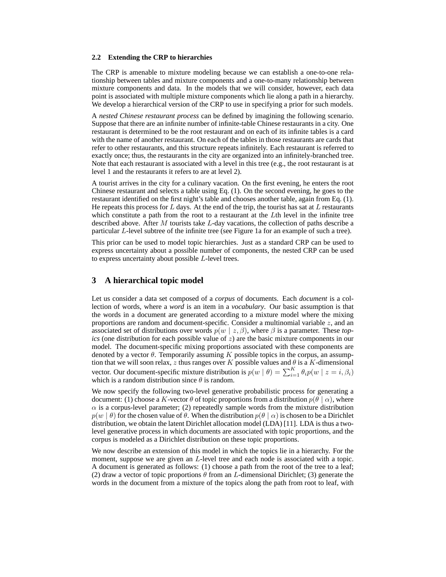#### **2.2 Extending the CRP to hierarchies**

The CRP is amenable to mixture modeling because we can establish a one-to-one relationship between tables and mixture components and a one-to-many relationship between mixture components and data. In the models that we will consider, however, each data point is associated with multiple mixture components which lie along a path in a hierarchy. We develop a hierarchical version of the CRP to use in specifying a prior for such models.

A *nested Chinese restaurant process* can be defined by imagining the following scenario. Suppose that there are an infinite number of infinite-table Chinese restaurants in a city. One restaurant is determined to be the root restaurant and on each of its infinite tables is a card with the name of another restaurant. On each of the tables in those restaurants are cards that refer to other restaurants, and this structure repeats infinitely. Each restaurant is referred to exactly once; thus, the restaurants in the city are organized into an infinitely-branched tree. Note that each restaurant is associated with a level in this tree (e.g., the root restaurant is at level 1 and the restaurants it refers to are at level 2).

A tourist arrives in the city for a culinary vacation. On the first evening, he enters the root Chinese restaurant and selects a table using Eq. (1). On the second evening, he goes to the restaurant identified on the first night's table and chooses another table, again from Eq. (1). He repeats this process for  $L$  days. At the end of the trip, the tourist has sat at  $L$  restaurants which constitute a path from the root to a restaurant at the Lth level in the infinite tree described above. After M tourists take L-day vacations, the collection of paths describe a particular L-level subtree of the infinite tree (see Figure 1a for an example of such a tree).

This prior can be used to model topic hierarchies. Just as a standard CRP can be used to express uncertainty about a possible number of components, the nested CRP can be used to express uncertainty about possible L-level trees.

## **3 A hierarchical topic model**

Let us consider a data set composed of a *corpus* of documents. Each *document* is a collection of words, where a *word* is an item in a *vocabulary*. Our basic assumption is that the words in a document are generated according to a mixture model where the mixing proportions are random and document-specific. Consider a multinomial variable  $z$ , and an associated set of distributions over words  $p(w \mid z, \beta)$ , where  $\beta$  is a parameter. These *topics* (one distribution for each possible value of z) are the basic mixture components in our model. The document-specific mixing proportions associated with these components are denoted by a vector  $\theta$ . Temporarily assuming K possible topics in the corpus, an assumption that we will soon relax, z thus ranges over K possible values and  $\theta$  is a K-dimensional vector. Our document-specific mixture distribution is  $p(w | \theta) = \sum_{i=1}^{K} \theta_i p(w | z = i, \beta_i)$ which is a random distribution since  $\theta$  is random.

We now specify the following two-level generative probabilistic process for generating a document: (1) choose a K-vector  $\theta$  of topic proportions from a distribution  $p(\theta | \alpha)$ , where  $\alpha$  is a corpus-level parameter; (2) repeatedly sample words from the mixture distribution  $p(w | \theta)$  for the chosen value of  $\theta$ . When the distribution  $p(\theta | \alpha)$  is chosen to be a Dirichlet distribution, we obtain the latent Dirichlet allocation model (LDA) [11]. LDA is thus a twolevel generative process in which documents are associated with topic proportions, and the corpus is modeled as a Dirichlet distribution on these topic proportions.

We now describe an extension of this model in which the topics lie in a hierarchy. For the moment, suppose we are given an L-level tree and each node is associated with a topic. A document is generated as follows: (1) choose a path from the root of the tree to a leaf; (2) draw a vector of topic proportions  $\theta$  from an L-dimensional Dirichlet; (3) generate the words in the document from a mixture of the topics along the path from root to leaf, with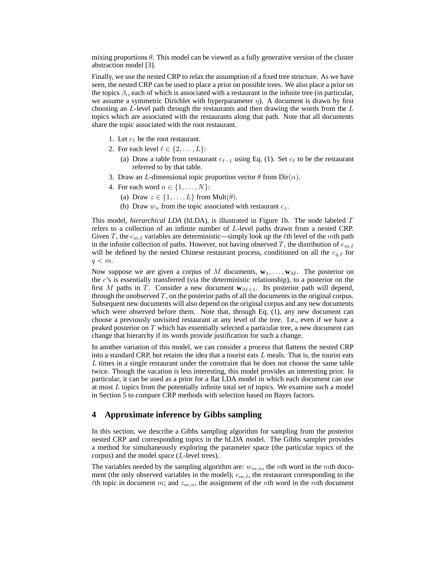mixing proportions  $\theta$ . This model can be viewed as a fully generative version of the cluster abstraction model [3].

Finally, we use the nested CRP to relax the assumption of a fixed tree structure. As we have seen, the nested CRP can be used to place a prior on possible trees. We also place a prior on the topics  $\beta_i$ , each of which is associated with a restaurant in the infinite tree (in particular, we assume a symmetric Dirichlet with hyperparameter  $\eta$ ). A document is drawn by first choosing an  $L$ -level path through the restaurants and then drawing the words from the  $L$ topics which are associated with the restaurants along that path. Note that all documents share the topic associated with the root restaurant.

- 1. Let  $c_1$  be the root restaurant.
- 2. For each level  $\ell \in \{2, \ldots, L\}$ :
	- (a) Draw a table from restaurant  $c_{\ell-1}$  using Eq. (1). Set  $c_{\ell}$  to be the restaurant referred to by that table.
- 3. Draw an L-dimensional topic proportion vector  $\theta$  from Dir( $\alpha$ ).
- 4. For each word  $n \in \{1, \ldots, N\}$ :
	- (a) Draw  $z \in \{1, \ldots, L\}$  from Mult $(\theta)$ .
	- (b) Draw  $w_n$  from the topic associated with restaurant  $c_z$ .

This model, *hierarchical LDA* (hLDA), is illustrated in Figure 1b. The node labeled T refers to a collection of an infinite number of L-level paths drawn from a nested CRP. Given T, the  $c_{m,\ell}$  variables are deterministic—simply look up the  $\ell$ th level of the mth path in the infinite collection of paths. However, not having observed T, the distribution of  $c_{m,\ell}$ will be defined by the nested Chinese restaurant process, conditioned on all the  $c_{q,\ell}$  for  $q < m$ .

Now suppose we are given a corpus of M documents,  $\mathbf{w}_1, \ldots, \mathbf{w}_M$ . The posterior on the c's is essentially transferred (via the deterministic relationship), to a posterior on the first  $M$  paths in  $T$ . Consider a new document  $w_{M+1}$ . Its posterior path will depend, through the unobserved  $T$ , on the posterior paths of all the documents in the original corpus. Subsequent new documents will also depend on the original corpus and any new documents which were observed before them. Note that, through Eq. (1), any new document can choose a previously unvisited restaurant at any level of the tree. I.e., even if we have a peaked posterior on T which has essentially selected a particular tree, a new document can change that hierarchy if its words provide justification for such a change.

In another variation of this model, we can consider a process that flattens the nested CRP into a standard CRP, but retains the idea that a tourist eats  $L$  meals. That is, the tourist eats  $L$  times in a single restaurant under the constraint that he does not choose the same table twice. Though the vacation is less interesting, this model provides an interesting prior. In particular, it can be used as a prior for a flat LDA model in which each document can use at most L topics from the potentially infinite total set of topics. We examine such a model in Section 5 to compare CRP methods with selection based on Bayes factors.

#### **4 Approximate inference by Gibbs sampling**

In this section, we describe a Gibbs sampling algorithm for sampling from the posterior nested CRP and corresponding topics in the hLDA model. The Gibbs sampler provides a method for simultaneously exploring the parameter space (the particular topics of the corpus) and the model space (L-level trees).

The variables needed by the sampling algorithm are:  $w_{m,n}$ , the nth word in the mth document (the only observed variables in the model);  $c_{m,\ell}$ , the restaurant corresponding to the  $\ell$ th topic in document m; and  $z_{m,n}$ , the assignment of the nth word in the mth document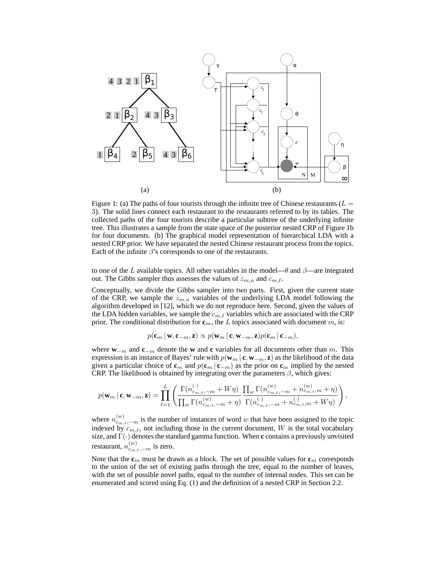

Figure 1: (a) The paths of four tourists through the infinite tree of Chinese restaurants ( $L =$ 3). The solid lines connect each restaurant to the restaurants referred to by its tables. The collected paths of the four tourists describe a particular subtree of the underlying infinite tree. This illustrates a sample from the state space of the posterior nested CRP of Figure 1b for four documents. (b) The graphical model representation of hierarchical LDA with a nested CRP prior. We have separated the nested Chinese restaurant process from the topics. Each of the infinite  $\beta$ 's corresponds to one of the restaurants.

to one of the L available topics. All other variables in the model— $\theta$  and  $\beta$ —are integrated out. The Gibbs sampler thus assesses the values of  $z_{m,n}$  and  $c_{m,\ell}$ .

Conceptually, we divide the Gibbs sampler into two parts. First, given the current state of the CRP, we sample the  $z_{m,n}$  variables of the underlying LDA model following the algorithm developed in [12], which we do not reproduce here. Second, given the values of the LDA hidden variables, we sample the  $c_{m,\ell}$  variables which are associated with the CRP prior. The conditional distribution for  $\mathbf{c}_m$ , the L topics associated with document m, is:

$$
p(\mathbf{c}_m \,|\, \mathbf{w}, \mathbf{c}_{-m}, \mathbf{z}) \propto p(\mathbf{w}_m \,|\, \mathbf{c}, \mathbf{w}_{-m}, \mathbf{z}) p(\mathbf{c}_m \,|\, \mathbf{c}_{-m}),
$$

where **w**<sup>−</sup><sup>m</sup> and **c**<sup>−</sup><sup>m</sup> denote the **w** and **c** variables for all documents other than m. This expression is an instance of Bayes' rule with  $p(\mathbf{w}_m | \mathbf{c}, \mathbf{w}_{-m}, \mathbf{z})$  as the likelihood of the data given a particular choice of  $\mathbf{c}_m$  and  $p(\mathbf{c}_m | \mathbf{c}_{-m})$  as the prior on  $\mathbf{c}_m$  implied by the nested CRP. The likelihood is obtained by integrating over the parameters  $\beta$ , which gives:

$$
p(\mathbf{w}_m \,|\, \mathbf{c}, \mathbf{w}_{-m}, \mathbf{z}) = \prod_{\ell=1}^L \left( \frac{\Gamma(n_{c_{m,\ell}, -m}^{(\cdot)} + W\eta)}{\prod_w \Gamma(n_{c_{m,\ell}, -m}^{(w)} + \eta)} \frac{\prod_w \Gamma(n_{c_{m,\ell}, -m}^{(w)} + n_{c_{m,\ell}, m}^{(w)} + \eta)}{\Gamma(n_{c_{m,\ell}, -m}^{(\cdot)} + n_{c_{m,\ell}, m}^{(\cdot)} + W\eta)} \right),
$$

where  $n_{c_{m,\ell},-m}^{(w)}$  is the number of instances of word w that have been assigned to the topic indexed by  $c_{m,\ell}$ , not including those in the current document, W is the total vocabulary size, and Γ(·) denotesthe standard gamma function. When **c** contains a previously unvisited restaurant,  $n_{c_{m,\ell},-m}^{(w)}$  is zero.

Note that the  $\mathbf{c}_m$  must be drawn as a block. The set of possible values for  $\mathbf{c}_m$  corresponds to the union of the set of existing paths through the tree, equal to the number of leaves, with the set of possible novel paths, equal to the number of internal nodes. This set can be enumerated and scored using Eq. (1) and the definition of a nested CRP in Section 2.2.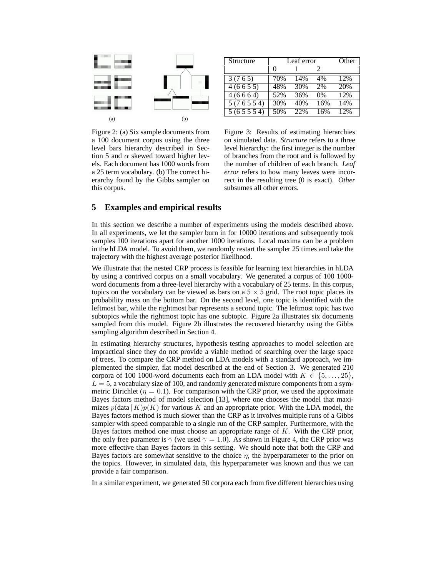

Structure | Leaf error Other 0 1 2 3 (7 6 5) 70% 14% 4% 12% 4 (6 6 5 5) 48% 30% 2% 20% 4 (6 6 6 4) 52% 36% 0% 12% 5 (7 6 5 5 4) 30% 40% 16% 14%  $5(6\ 5\ 5\ 5\ 4)$  50% 22% 16% 12%

Figure 2: (a) Six sample documents from a 100 document corpus using the three level bars hierarchy described in Section 5 and  $\alpha$  skewed toward higher levels. Each document has 1000 words from a 25 term vocabulary. (b) The correct hierarchy found by the Gibbs sampler on this corpus.

Figure 3: Results of estimating hierarchies on simulated data. *Structure* refers to a three level hierarchy: the first integer is the number of branches from the root and is followed by the number of children of each branch. *Leaf error* refers to how many leaves were incorrect in the resulting tree (0 is exact). *Other* subsumes all other errors.

# **5 Examples and empirical results**

In this section we describe a number of experiments using the models described above. In all experiments, we let the sampler burn in for 10000 iterations and subsequently took samples 100 iterations apart for another 1000 iterations. Local maxima can be a problem in the hLDA model. To avoid them, we randomly restart the sampler 25 times and take the trajectory with the highest average posterior likelihood.

We illustrate that the nested CRP process is feasible for learning text hierarchies in hLDA by using a contrived corpus on a small vocabulary. We generated a corpus of 100 1000 word documents from a three-level hierarchy with a vocabulary of 25 terms. In this corpus, topics on the vocabulary can be viewed as bars on a  $5 \times 5$  grid. The root topic places its probability mass on the bottom bar. On the second level, one topic is identified with the leftmost bar, while the rightmost bar represents a second topic. The leftmost topic has two subtopics while the rightmost topic has one subtopic. Figure 2a illustrates six documents sampled from this model. Figure 2b illustrates the recovered hierarchy using the Gibbs sampling algorithm described in Section 4.

In estimating hierarchy structures, hypothesis testing approaches to model selection are impractical since they do not provide a viable method of searching over the large space of trees. To compare the CRP method on LDA models with a standard approach, we implemented the simpler, flat model described at the end of Section 3. We generated 210 corpora of 100 1000-word documents each from an LDA model with  $K \in \{5, \ldots, 25\}$ ,  $L = 5$ , a vocabulary size of 100, and randomly generated mixture components from a symmetric Dirichlet ( $\eta = 0.1$ ). For comparison with the CRP prior, we used the approximate Bayes factors method of model selection [13], where one chooses the model that maximizes  $p(\text{data} | K)p(K)$  for various K and an appropriate prior. With the LDA model, the Bayes factors method is much slower than the CRP as it involves multiple runs of a Gibbs sampler with speed comparable to a single run of the CRP sampler. Furthermore, with the Bayes factors method one must choose an appropriate range of K. With the CRP prior, the only free parameter is  $\gamma$  (we used  $\gamma = 1.0$ ). As shown in Figure 4, the CRP prior was more effective than Bayes factors in this setting. We should note that both the CRP and Bayes factors are somewhat sensitive to the choice  $\eta$ , the hyperparameter to the prior on the topics. However, in simulated data, this hyperparameter was known and thus we can provide a fair comparison.

In a similar experiment, we generated 50 corpora each from five different hierarchies using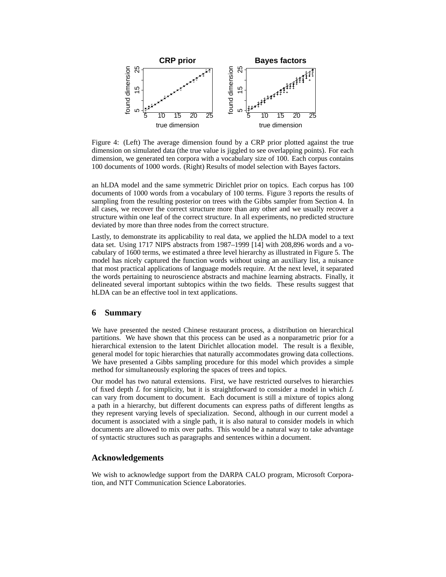

Figure 4: (Left) The average dimension found by a CRP prior plotted against the true dimension on simulated data (the true value is jiggled to see overlapping points). For each dimension, we generated ten corpora with a vocabulary size of 100. Each corpus contains 100 documents of 1000 words. (Right) Results of model selection with Bayes factors.

an hLDA model and the same symmetric Dirichlet prior on topics. Each corpus has 100 documents of 1000 words from a vocabulary of 100 terms. Figure 3 reports the results of sampling from the resulting posterior on trees with the Gibbs sampler from Section 4. In all cases, we recover the correct structure more than any other and we usually recover a structure within one leaf of the correct structure. In all experiments, no predicted structure deviated by more than three nodes from the correct structure.

Lastly, to demonstrate its applicability to real data, we applied the hLDA model to a text data set. Using 1717 NIPS abstracts from 1987–1999 [14] with 208,896 words and a vocabulary of 1600 terms, we estimated a three level hierarchy as illustrated in Figure 5. The model has nicely captured the function words without using an auxiliary list, a nuisance that most practical applications of language models require. At the next level, it separated the words pertaining to neuroscience abstracts and machine learning abstracts. Finally, it delineated several important subtopics within the two fields. These results suggest that hLDA can be an effective tool in text applications.

# **6 Summary**

We have presented the nested Chinese restaurant process, a distribution on hierarchical partitions. We have shown that this process can be used as a nonparametric prior for a hierarchical extension to the latent Dirichlet allocation model. The result is a flexible, general model for topic hierarchies that naturally accommodates growing data collections. We have presented a Gibbs sampling procedure for this model which provides a simple method for simultaneously exploring the spaces of trees and topics.

Our model has two natural extensions. First, we have restricted ourselves to hierarchies of fixed depth  $L$  for simplicity, but it is straightforward to consider a model in which  $L$ can vary from document to document. Each document is still a mixture of topics along a path in a hierarchy, but different documents can express paths of different lengths as they represent varying levels of specialization. Second, although in our current model a document is associated with a single path, it is also natural to consider models in which documents are allowed to mix over paths. This would be a natural way to take advantage of syntactic structures such as paragraphs and sentences within a document.

#### **Acknowledgements**

We wish to acknowledge support from the DARPA CALO program, Microsoft Corporation, and NTT Communication Science Laboratories.